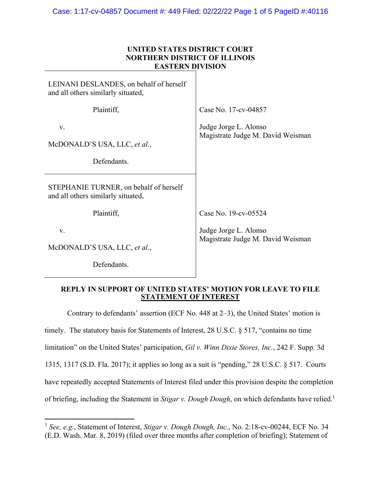# **UNITED STATES DISTRICT COURT NORTHERN DISTRICT OF ILLINOIS EASTERN DIVISION**

| LEINANI DESLANDES, on behalf of herself<br>and all others similarly situated, |                                                            |
|-------------------------------------------------------------------------------|------------------------------------------------------------|
| Plaintiff,                                                                    | Case No. 17-cv-04857                                       |
| V.<br>McDONALD'S USA, LLC, et al.,                                            | Judge Jorge L. Alonso<br>Magistrate Judge M. David Weisman |
| Defendants.                                                                   |                                                            |
| STEPHANIE TURNER, on behalf of herself<br>and all others similarly situated,  |                                                            |
| Plaintiff,                                                                    | Case No. 19-cv-05524                                       |
| V.<br>McDONALD'S USA, LLC, et al.,                                            | Judge Jorge L. Alonso<br>Magistrate Judge M. David Weisman |
| Defendants.                                                                   |                                                            |

### **REPLY IN SUPPORT OF UNITED STATES' MOTION FOR LEAVE TO FILE STATEMENT OF INTEREST**

Contrary to defendants' assertion (ECF No. 448 at 2–3), the United States' motion is timely. The statutory basis for Statements of Interest, 28 U.S.C. § 517, "contains no time limitation" on the United States' participation, *Gil v. Winn Dixie Stores, Inc.*, 242 F. Supp. 3d 1315, 1317 (S.D. Fla. 2017); it applies so long as a suit is "pending," 28 U.S.C. § 517. Courts have repeatedly accepted Statements of Interest filed under this provision despite the completion of briefing, including the Statement in *Stigar v. Dough Dough*, on which defendants have relied.<sup>1</sup>

1

<sup>1</sup> *See, e.g.*, Statement of Interest, *Stigar v. Dough Dough, Inc.*, No. 2:18-cv-00244, ECF No. 34 (E.D. Wash. Mar. 8, 2019) (filed over three months after completion of briefing); Statement of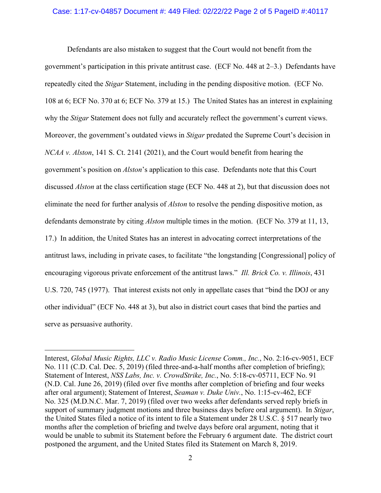#### Case: 1:17-cv-04857 Document #: 449 Filed: 02/22/22 Page 2 of 5 PageID #:40117

Defendants are also mistaken to suggest that the Court would not benefit from the government's participation in this private antitrust case. (ECF No. 448 at 2–3.) Defendants have repeatedly cited the *Stigar* Statement, including in the pending dispositive motion. (ECF No. 108 at 6; ECF No. 370 at 6; ECF No. 379 at 15.) The United States has an interest in explaining why the *Stigar* Statement does not fully and accurately reflect the government's current views. Moreover, the government's outdated views in *Stigar* predated the Supreme Court's decision in *NCAA v. Alston*, 141 S. Ct. 2141 (2021), and the Court would benefit from hearing the government's position on *Alston*'s application to this case. Defendants note that this Court discussed *Alston* at the class certification stage (ECF No. 448 at 2), but that discussion does not eliminate the need for further analysis of *Alston* to resolve the pending dispositive motion, as defendants demonstrate by citing *Alston* multiple times in the motion. (ECF No. 379 at 11, 13, 17.) In addition, the United States has an interest in advocating correct interpretations of the antitrust laws, including in private cases, to facilitate "the longstanding [Congressional] policy of encouraging vigorous private enforcement of the antitrust laws." *Ill. Brick Co. v. Illinois*, 431 U.S. 720, 745 (1977). That interest exists not only in appellate cases that "bind the DOJ or any other individual" (ECF No. 448 at 3), but also in district court cases that bind the parties and serve as persuasive authority.

Interest, *Global Music Rights, LLC v. Radio Music License Comm., Inc.*, No. 2:16-cv-9051, ECF No. 111 (C.D. Cal. Dec. 5, 2019) (filed three-and-a-half months after completion of briefing); Statement of Interest, *NSS Labs, Inc. v. CrowdStrike, Inc.*, No. 5:18-cv-05711, ECF No. 91 (N.D. Cal. June 26, 2019) (filed over five months after completion of briefing and four weeks after oral argument); Statement of Interest, *Seaman v. Duke Univ.*, No. 1:15-cv-462, ECF No. 325 (M.D.N.C. Mar. 7, 2019) (filed over two weeks after defendants served reply briefs in support of summary judgment motions and three business days before oral argument). In *Stigar*, the United States filed a notice of its intent to file a Statement under 28 U.S.C. § 517 nearly two months after the completion of briefing and twelve days before oral argument, noting that it would be unable to submit its Statement before the February 6 argument date. The district court postponed the argument, and the United States filed its Statement on March 8, 2019.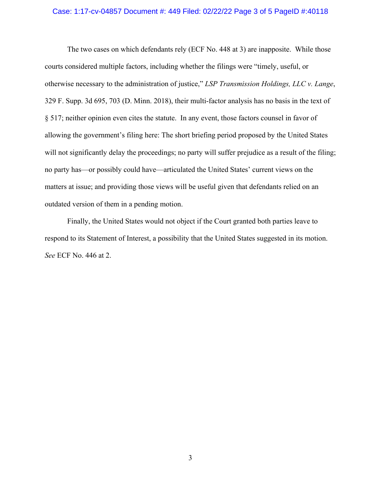#### Case: 1:17-cv-04857 Document #: 449 Filed: 02/22/22 Page 3 of 5 PageID #:40118

The two cases on which defendants rely (ECF No. 448 at 3) are inapposite. While those courts considered multiple factors, including whether the filings were "timely, useful, or otherwise necessary to the administration of justice," *LSP Transmission Holdings, LLC v. Lange*, 329 F. Supp. 3d 695, 703 (D. Minn. 2018), their multi-factor analysis has no basis in the text of § 517; neither opinion even cites the statute. In any event, those factors counsel in favor of allowing the government's filing here: The short briefing period proposed by the United States will not significantly delay the proceedings; no party will suffer prejudice as a result of the filing; no party has—or possibly could have—articulated the United States' current views on the matters at issue; and providing those views will be useful given that defendants relied on an outdated version of them in a pending motion.

Finally, the United States would not object if the Court granted both parties leave to respond to its Statement of Interest, a possibility that the United States suggested in its motion. *See* ECF No. 446 at 2.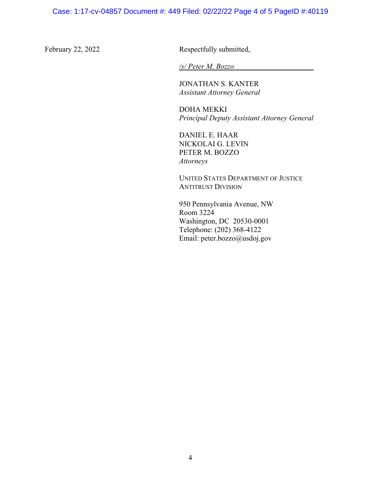February 22, 2022 Respectfully submitted,

*/s/ Peter M. Bozzo* 

 JONATHAN S. KANTER *Assistant Attorney General* 

**DOHA MEKKI** *Principal Deputy Assistant Attorney General* 

 DANIEL E. HAAR NICKOLAI G. LEVIN PETER M. BOZZO  *Attorneys* 

**UNITED STATES DEPARTMENT OF JUSTICE** ANTITRUST DIVISION

 950 Pennsylvania Avenue, NW Room 3224 Washington, DC 20530-0001 Telephone: (202) 368-4122 Email: peter.bozzo@usdoj.gov